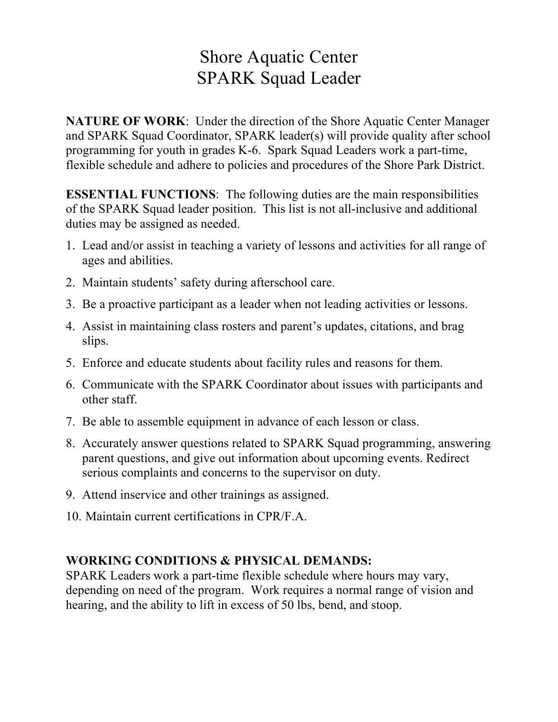## Shore Aquatic Center SPARK Squad Leader

**NATURE OF WORK:** Under the direction of the Shore Aquatic Center Manager and SPARK Squad Coordinator, SPARK leader(s) will provide quality after school programming for youth in grades K-6. Spark Squad Leaders work a part-time, flexible schedule and adhere to policies and procedures of the Shore Park District.

**ESSENTIAL FUNCTIONS**: The following duties are the main responsibilities of the SPARK Squad leader position. This list is not all-inclusive and additional duties may be assigned as needed.

- 1. Lead and/or assist in teaching a variety of lessons and activities for all range of ages and abilities.
- 2. Maintain students' safety during afterschool care.
- 3. Be a proactive participant as a leader when not leading activities or lessons.
- 4. Assist in maintaining class rosters and parent's updates, citations, and brag slips.
- 5. Enforce and educate students about facility rules and reasons for them.
- 6. Communicate with the SPARK Coordinator about issues with participants and other staff.
- 7. Be able to assemble equipment in advance of each lesson or class.
- 8. Accurately answer questions related to SPARK Squad programming, answering parent questions, and give out information about upcoming events. Redirect serious complaints and concerns to the supervisor on duty.
- 9. Attend inservice and other trainings as assigned.
- 10. Maintain current certifications in CPR/F.A.

## **WORKING CONDITIONS & PHYSICAL DEMANDS:**

SPARK Leaders work a part-time flexible schedule where hours may vary, depending on need of the program. Work requires a normal range of vision and hearing, and the ability to lift in excess of 50 lbs, bend, and stoop.